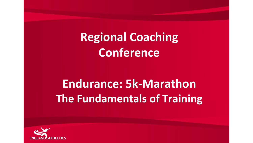**Regional Coaching Conference**

# **Endurance: 5k-Marathon The Fundamentals of Training**

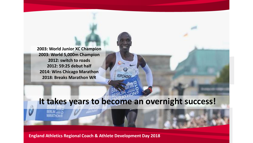**2003: World Junior XC Champion 2003: World 5,000m Champion 2012: switch to roads 2012: 59:25 debut half 2014: Wins Chicago Marathon 2018: Breaks Marathon WR**

## **It takes years to become an overnight success!**

 $\overline{w}$  in

**KIPCHOGE**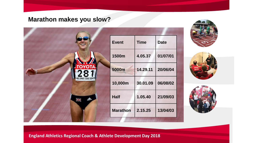#### **Marathon makes you slow?**

|                       | <b>Event</b>    | <b>Time</b> | <b>Date</b> |
|-----------------------|-----------------|-------------|-------------|
|                       | 1500m           | 4.05.37     | 01/07/01    |
|                       | 5000m           | 14.29.11    | 20/06/04    |
| HELSINKI 2005 ESP00   | 10,000m         | 30.01.09    | 06/08/02    |
| caldon<br><b>ANGE</b> | <b>Half</b>     | 1.05.40     | 21/09/03    |
|                       | <b>Marathon</b> | 2.15.25     | 13/04/03    |





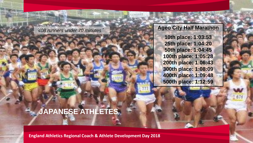'*408 runners under 70 minutes*'

**Controlled** 

**Ageo City Half Marathon 10th place: 1:03:53 25th place: 1:04:20 50th place: 1:04:45 100th place: 1:05:28 200th place: 1:06:43 300th place: 1:08:09 400th place: 1:09:48 500th place: 1:12:59**

### **JAPANESE ATHLETES**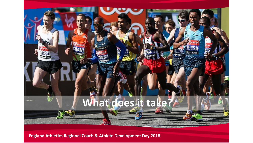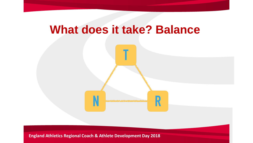## **What does it take? Balance**



N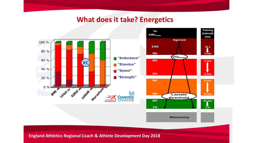### **What does it take? Energetics**



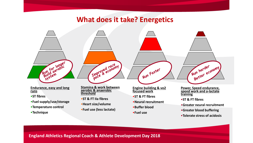### **What does it take? Energetics**



•**Tolerate stress of acidosis**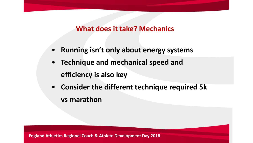### **What does it take? Mechanics**

- **Running isn't only about energy systems**
- **Technique and mechanical speed and efficiency is also key**
- **Consider the different technique required 5k vs marathon**